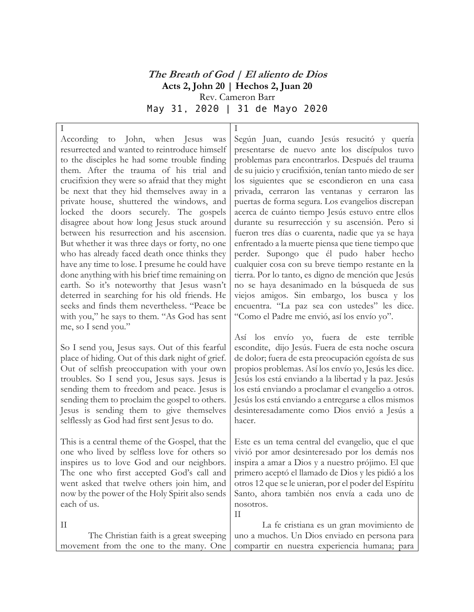## **The Breath of God | El aliento de Dios Acts 2, John 20 | Hechos 2, Juan 20** Rev. Cameron Barr May 31, 2020 | 31 de Mayo 2020

I According to John, when Jesus was resurrected and wanted to reintroduce himself to the disciples he had some trouble finding them. After the trauma of his trial and crucifixion they were so afraid that they might be next that they hid themselves away in a private house, shuttered the windows, and locked the doors securely. The gospels disagree about how long Jesus stuck around between his resurrection and his ascension. But whether it was three days or forty, no one who has already faced death once thinks they have any time to lose. I presume he could have done anything with his brief time remaining on earth. So it's noteworthy that Jesus wasn't deterred in searching for his old friends. He seeks and finds them nevertheless. "Peace be with you," he says to them. "As God has sent me, so I send you."

So I send you, Jesus says. Out of this fearful place of hiding. Out of this dark night of grief. Out of selfish preoccupation with your own troubles. So I send you, Jesus says. Jesus is sending them to freedom and peace. Jesus is sending them to proclaim the gospel to others. Jesus is sending them to give themselves selflessly as God had first sent Jesus to do.

This is a central theme of the Gospel, that the one who lived by selfless love for others so inspires us to love God and our neighbors. The one who first accepted God's call and went asked that twelve others join him, and now by the power of the Holy Spirit also sends each of us.

I Según Juan, cuando Jesús resucitó y quería presentarse de nuevo ante los discípulos tuvo problemas para encontrarlos. Después del trauma de su juicio y crucifixión, tenían tanto miedo de ser los siguientes que se escondieron en una casa privada, cerraron las ventanas y cerraron las puertas de forma segura. Los evangelios discrepan acerca de cuánto tiempo Jesús estuvo entre ellos durante su resurrección y su ascensión. Pero si fueron tres días o cuarenta, nadie que ya se haya enfrentado a la muerte piensa que tiene tiempo que perder. Supongo que él pudo haber hecho cualquier cosa con su breve tiempo restante en la tierra. Por lo tanto, es digno de mención que Jesús no se haya desanimado en la búsqueda de sus viejos amigos. Sin embargo, los busca y los encuentra. "La paz sea con ustedes" les dice. "Como el Padre me envió, así los envío yo".

Así los envío yo, fuera de este terrible escondite, dijo Jesús. Fuera de esta noche oscura de dolor; fuera de esta preocupación egoísta de sus propios problemas. Así los envío yo, Jesús les dice. Jesús los está enviando a la libertad y la paz. Jesús los está enviando a proclamar el evangelio a otros. Jesús los está enviando a entregarse a ellos mismos desinteresadamente como Dios envió a Jesús a hacer.

Este es un tema central del evangelio, que el que vivió por amor desinteresado por los demás nos inspira a amar a Dios y a nuestro prójimo. El que primero aceptó el llamado de Dios y les pidió a los otros 12 que se le unieran, por el poder del Espíritu Santo, ahora también nos envía a cada uno de nosotros. II

II The Christian faith is a great sweeping movement from the one to the many. One La fe cristiana es un gran movimiento de uno a muchos. Un Dios enviado en persona para compartir en nuestra experiencia humana; para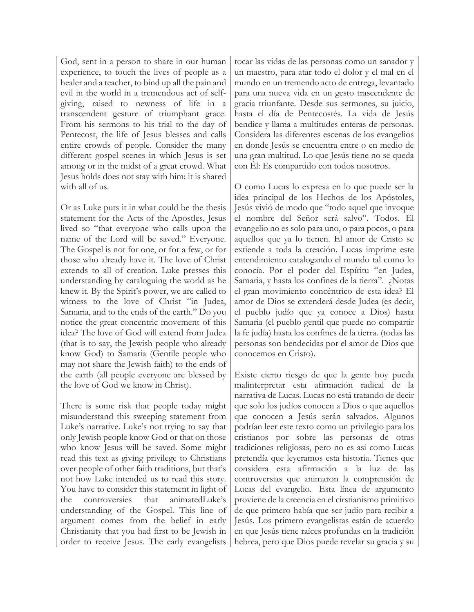God, sent in a person to share in our human experience, to touch the lives of people as a healer and a teacher, to bind up all the pain and evil in the world in a tremendous act of selfgiving, raised to newness of life in a transcendent gesture of triumphant grace. From his sermons to his trial to the day of Pentecost, the life of Jesus blesses and calls entire crowds of people. Consider the many different gospel scenes in which Jesus is set among or in the midst of a great crowd. What Jesus holds does not stay with him: it is shared with all of us.

Or as Luke puts it in what could be the thesis statement for the Acts of the Apostles, Jesus lived so "that everyone who calls upon the name of the Lord will be saved." Everyone. The Gospel is not for one, or for a few, or for those who already have it. The love of Christ extends to all of creation. Luke presses this understanding by cataloguing the world as he knew it. By the Spirit's power, we are called to witness to the love of Christ "in Judea, Samaria, and to the ends of the earth." Do you notice the great concentric movement of this idea? The love of God will extend from Judea (that is to say, the Jewish people who already know God) to Samaria (Gentile people who may not share the Jewish faith) to the ends of the earth (all people everyone are blessed by the love of God we know in Christ).

There is some risk that people today might misunderstand this sweeping statement from Luke's narrative. Luke's not trying to say that only Jewish people know God or that on those who know Jesus will be saved. Some might read this text as giving privilege to Christians over people of other faith traditions, but that's not how Luke intended us to read this story. You have to consider this statement in light of the controversies that animatedLuke's understanding of the Gospel. This line of argument comes from the belief in early Christianity that you had first to be Jewish in order to receive Jesus. The early evangelists

tocar las vidas de las personas como un sanador y un maestro, para atar todo el dolor y el mal en el mundo en un tremendo acto de entrega, levantado para una nueva vida en un gesto trascendente de gracia triunfante. Desde sus sermones, su juicio, hasta el día de Pentecostés. La vida de Jesús bendice y llama a multitudes enteras de personas. Considera las diferentes escenas de los evangelios en donde Jesús se encuentra entre o en medio de una gran multitud. Lo que Jesús tiene no se queda con Él: Es compartido con todos nosotros.

O como Lucas lo expresa en lo que puede ser la idea principal de los Hechos de los Apóstoles, Jesús vivió de modo que "todo aquel que invoque el nombre del Señor será salvo". Todos. El evangelio no es solo para uno, o para pocos, o para aquellos que ya lo tienen. El amor de Cristo se extiende a toda la creación. Lucas imprime este entendimiento catalogando el mundo tal como lo conocía. Por el poder del Espíritu "en Judea, Samaria, y hasta los confines de la tierra". ¿Notas el gran movimiento concéntrico de esta idea? El amor de Dios se extenderá desde Judea (es decir, el pueblo judío que ya conoce a Dios) hasta Samaria (el pueblo gentil que puede no compartir la fe judía) hasta los confines de la tierra. (todas las personas son bendecidas por el amor de Dios que conocemos en Cristo).

Existe cierto riesgo de que la gente hoy pueda malinterpretar esta afirmación radical de la narrativa de Lucas. Lucas no está tratando de decir que solo los judíos conocen a Dios o que aquellos que conocen a Jesús serán salvados. Algunos podrían leer este texto como un privilegio para los cristianos por sobre las personas de otras tradiciones religiosas, pero no es así como Lucas pretendía que leyeramos esta historia. Tienes que considera esta afirmación a la luz de las controversias que animaron la comprensión de Lucas del evangelio. Esta línea de argumento proviene de la creencia en el cirstianismo primitivo de que primero había que ser judío para recibir a Jesús. Los primero evangelistas están de acuerdo en que Jesús tiene raíces profundas en la tradición hebrea, pero que Dios puede revelar su gracia y su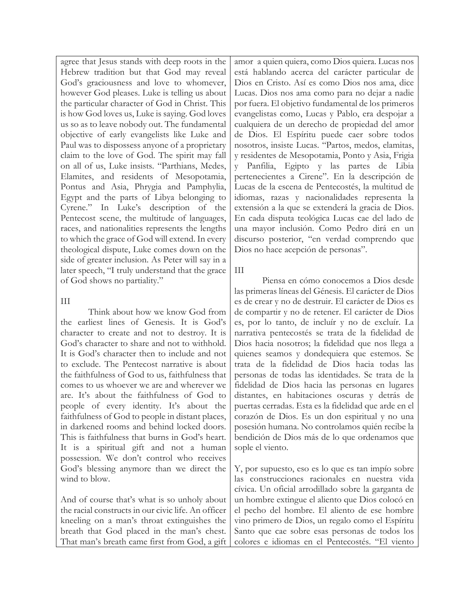agree that Jesus stands with deep roots in the Hebrew tradition but that God may reveal God's graciousness and love to whomever, however God pleases. Luke is telling us about the particular character of God in Christ. This is how God loves us, Luke is saying. God loves us so as to leave nobody out. The fundamental objective of early evangelists like Luke and Paul was to dispossess anyone of a proprietary claim to the love of God. The spirit may fall on all of us, Luke insists. "Parthians, Medes, Elamites, and residents of Mesopotamia, Pontus and Asia, Phrygia and Pamphylia, Egypt and the parts of Libya belonging to Cyrene." In Luke's description of the Pentecost scene, the multitude of languages, races, and nationalities represents the lengths to which the grace of God will extend. In every theological dispute, Luke comes down on the side of greater inclusion. As Peter will say in a later speech, "I truly understand that the grace of God shows no partiality."

## III

Think about how we know God from the earliest lines of Genesis. It is God's character to create and not to destroy. It is God's character to share and not to withhold. It is God's character then to include and not to exclude. The Pentecost narrative is about the faithfulness of God to us, faithfulness that comes to us whoever we are and wherever we are. It's about the faithfulness of God to people of every identity. It's about the faithfulness of God to people in distant places, in darkened rooms and behind locked doors. This is faithfulness that burns in God's heart. It is a spiritual gift and not a human possession. We don't control who receives God's blessing anymore than we direct the wind to blow.

And of course that's what is so unholy about the racial constructs in our civic life. An officer kneeling on a man's throat extinguishes the breath that God placed in the man's chest. That man's breath came first from God, a gift

amor a quien quiera, como Dios quiera. Lucas nos está hablando acerca del carácter particular de Dios en Cristo. Así es como Dios nos ama, dice Lucas. Dios nos ama como para no dejar a nadie por fuera. El objetivo fundamental de los primeros evangelistas como, Lucas y Pablo, era despojar a cualquiera de un derecho de propiedad del amor de Dios. El Espíritu puede caer sobre todos nosotros, insiste Lucas. "Partos, medos, elamitas, y residentes de Mesopotamia, Ponto y Asia, Frigia y Panfilia, Egipto y las partes de Libia pertenecientes a Cirene". En la descripción de Lucas de la escena de Pentecostés, la multitud de idiomas, razas y nacionalidades representa la extensión a la que se extenderá la gracia de Dios. En cada disputa teológica Lucas cae del lado de una mayor inclusión. Como Pedro dirá en un discurso posterior, "en verdad comprendo que Dios no hace acepción de personas".

## III

Piensa en cómo conocemos a Dios desde las primeras líneas del Génesis. El carácter de Dios es de crear y no de destruir. El carácter de Dios es de compartir y no de retener. El carácter de Dios es, por lo tanto, de incluír y no de excluír. La narrativa pentecostés se trata de la fidelidad de Dios hacia nosotros; la fidelidad que nos llega a quienes seamos y dondequiera que estemos. Se trata de la fidelidad de Dios hacia todas las personas de todas las identidades. Se trata de la fidelidad de Dios hacia las personas en lugares distantes, en habitaciones oscuras y detrás de puertas cerradas. Esta es la fidelidad que arde en el corazón de Dios. Es un don espiritual y no una posesión humana. No controlamos quién recibe la bendición de Dios más de lo que ordenamos que sople el viento.

Y, por supuesto, eso es lo que es tan impío sobre las construcciones racionales en nuestra vida cívica. Un oficial arrodillado sobre la garganta de un hombre extingue el aliento que Dios colocó en el pecho del hombre. El aliento de ese hombre vino primero de Dios, un regalo como el Espíritu Santo que cae sobre esas personas de todos los colores e idiomas en el Pentecostés. "El viento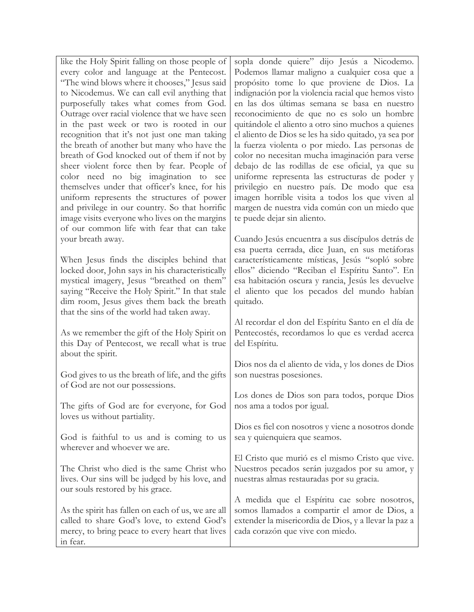| like the Holy Spirit falling on those people of                                                                                                                                                                                               | sopla donde quiere" dijo Jesús a Nicodemo.                                                                                                                                     |
|-----------------------------------------------------------------------------------------------------------------------------------------------------------------------------------------------------------------------------------------------|--------------------------------------------------------------------------------------------------------------------------------------------------------------------------------|
| every color and language at the Pentecost.                                                                                                                                                                                                    | Podemos llamar maligno a cualquier cosa que a                                                                                                                                  |
| "The wind blows where it chooses," Jesus said                                                                                                                                                                                                 | propósito tome lo que proviene de Dios. La                                                                                                                                     |
| to Nicodemus. We can call evil anything that                                                                                                                                                                                                  | indignación por la violencia racial que hemos visto                                                                                                                            |
| purposefully takes what comes from God.                                                                                                                                                                                                       | en las dos últimas semana se basa en nuestro                                                                                                                                   |
| Outrage over racial violence that we have seen                                                                                                                                                                                                | reconocimiento de que no es solo un hombre                                                                                                                                     |
| in the past week or two is rooted in our                                                                                                                                                                                                      | quitándole el aliento a otro sino muchos a quienes                                                                                                                             |
| recognition that it's not just one man taking                                                                                                                                                                                                 | el aliento de Dios se les ha sido quitado, ya sea por                                                                                                                          |
| the breath of another but many who have the                                                                                                                                                                                                   | la fuerza violenta o por miedo. Las personas de                                                                                                                                |
| breath of God knocked out of them if not by                                                                                                                                                                                                   | color no necesitan mucha imaginación para verse                                                                                                                                |
| sheer violent force then by fear. People of                                                                                                                                                                                                   | debajo de las rodillas de ese oficial, ya que su                                                                                                                               |
| color need no big imagination to see                                                                                                                                                                                                          | uniforme representa las estructuras de poder y                                                                                                                                 |
| themselves under that officer's knee, for his<br>uniform represents the structures of power<br>and privilege in our country. So that horrific<br>image visits everyone who lives on the margins<br>of our common life with fear that can take | privilegio en nuestro país. De modo que esa<br>imagen horrible visita a todos los que viven al<br>margen de nuestra vida común con un miedo que<br>te puede dejar sin aliento. |
| your breath away.                                                                                                                                                                                                                             | Cuando Jesús encuentra a sus discípulos detrás de                                                                                                                              |
| When Jesus finds the disciples behind that                                                                                                                                                                                                    | esa puerta cerrada, dice Juan, en sus metáforas                                                                                                                                |
| locked door, John says in his characteristically                                                                                                                                                                                              | característicamente místicas, Jesús "sopló sobre                                                                                                                               |
| mystical imagery, Jesus "breathed on them"                                                                                                                                                                                                    | ellos" diciendo "Reciban el Espíritu Santo". En                                                                                                                                |
| saying "Receive the Holy Spirit." In that stale                                                                                                                                                                                               | esa habitación oscura y rancia, Jesús les devuelve                                                                                                                             |
| dim room, Jesus gives them back the breath                                                                                                                                                                                                    | el aliento que los pecados del mundo habían                                                                                                                                    |
| that the sins of the world had taken away.                                                                                                                                                                                                    | quitado.                                                                                                                                                                       |
| As we remember the gift of the Holy Spirit on                                                                                                                                                                                                 | Al recordar el don del Espíritu Santo en el día de                                                                                                                             |
| this Day of Pentecost, we recall what is true                                                                                                                                                                                                 | Pentecostés, recordamos lo que es verdad acerca                                                                                                                                |
| about the spirit.                                                                                                                                                                                                                             | del Espíritu.                                                                                                                                                                  |
| God gives to us the breath of life, and the gifts                                                                                                                                                                                             | Dios nos da el aliento de vida, y los dones de Dios                                                                                                                            |
| of God are not our possessions.                                                                                                                                                                                                               | son nuestras posesiones.                                                                                                                                                       |
| The gifts of God are for everyone, for God                                                                                                                                                                                                    | Los dones de Dios son para todos, porque Dios                                                                                                                                  |
| loves us without partiality.                                                                                                                                                                                                                  | nos ama a todos por igual.                                                                                                                                                     |
| God is faithful to us and is coming to us                                                                                                                                                                                                     | Dios es fiel con nosotros y viene a nosotros donde                                                                                                                             |
| wherever and whoever we are.                                                                                                                                                                                                                  | sea y quienquiera que seamos.                                                                                                                                                  |
| The Christ who died is the same Christ who                                                                                                                                                                                                    | El Cristo que murió es el mismo Cristo que vive.                                                                                                                               |
| lives. Our sins will be judged by his love, and                                                                                                                                                                                               | Nuestros pecados serán juzgados por su amor, y                                                                                                                                 |
| our souls restored by his grace.                                                                                                                                                                                                              | nuestras almas restauradas por su gracia.                                                                                                                                      |
| As the spirit has fallen on each of us, we are all                                                                                                                                                                                            | A medida que el Espíritu cae sobre nosotros,                                                                                                                                   |
| called to share God's love, to extend God's                                                                                                                                                                                                   | somos llamados a compartir el amor de Dios, a                                                                                                                                  |
| mercy, to bring peace to every heart that lives                                                                                                                                                                                               | extender la misericordia de Dios, y a llevar la paz a                                                                                                                          |
| in fear.                                                                                                                                                                                                                                      | cada corazón que vive con miedo.                                                                                                                                               |